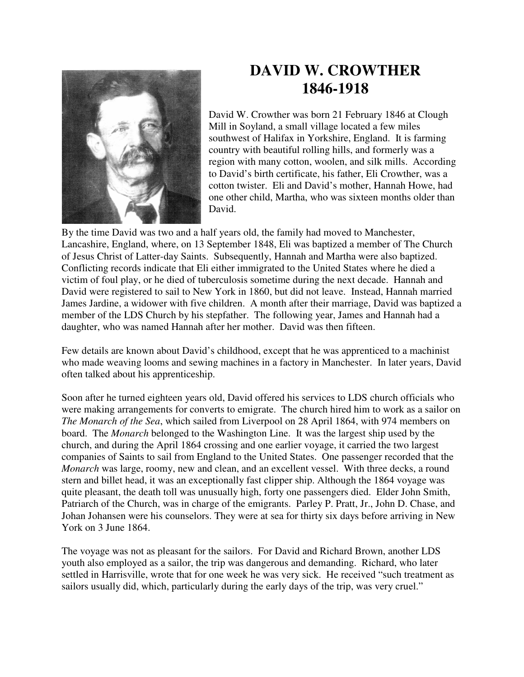

## **DAVID W. CROWTHER 1846-1918**

David W. Crowther was born 21 February 1846 at Clough Mill in Soyland, a small village located a few miles southwest of Halifax in Yorkshire, England. It is farming country with beautiful rolling hills, and formerly was a region with many cotton, woolen, and silk mills. According to David's birth certificate, his father, Eli Crowther, was a cotton twister. Eli and David's mother, Hannah Howe, had one other child, Martha, who was sixteen months older than David.

By the time David was two and a half years old, the family had moved to Manchester, Lancashire, England, where, on 13 September 1848, Eli was baptized a member of The Church of Jesus Christ of Latter-day Saints. Subsequently, Hannah and Martha were also baptized. Conflicting records indicate that Eli either immigrated to the United States where he died a victim of foul play, or he died of tuberculosis sometime during the next decade. Hannah and David were registered to sail to New York in 1860, but did not leave. Instead, Hannah married James Jardine, a widower with five children. A month after their marriage, David was baptized a member of the LDS Church by his stepfather. The following year, James and Hannah had a daughter, who was named Hannah after her mother. David was then fifteen.

Few details are known about David's childhood, except that he was apprenticed to a machinist who made weaving looms and sewing machines in a factory in Manchester. In later years, David often talked about his apprenticeship.

Soon after he turned eighteen years old, David offered his services to LDS church officials who were making arrangements for converts to emigrate. The church hired him to work as a sailor on *The Monarch of the Sea*, which sailed from Liverpool on 28 April 1864, with 974 members on board. The *Monarch* belonged to the Washington Line. It was the largest ship used by the church, and during the April 1864 crossing and one earlier voyage, it carried the two largest companies of Saints to sail from England to the United States. One passenger recorded that the *Monarch* was large, roomy, new and clean, and an excellent vessel. With three decks, a round stern and billet head, it was an exceptionally fast clipper ship. Although the 1864 voyage was quite pleasant, the death toll was unusually high, forty one passengers died. Elder John Smith, Patriarch of the Church, was in charge of the emigrants. Parley P. Pratt, Jr., John D. Chase, and Johan Johansen were his counselors. They were at sea for thirty six days before arriving in New York on 3 June 1864.

The voyage was not as pleasant for the sailors. For David and Richard Brown, another LDS youth also employed as a sailor, the trip was dangerous and demanding. Richard, who later settled in Harrisville, wrote that for one week he was very sick. He received "such treatment as sailors usually did, which, particularly during the early days of the trip, was very cruel."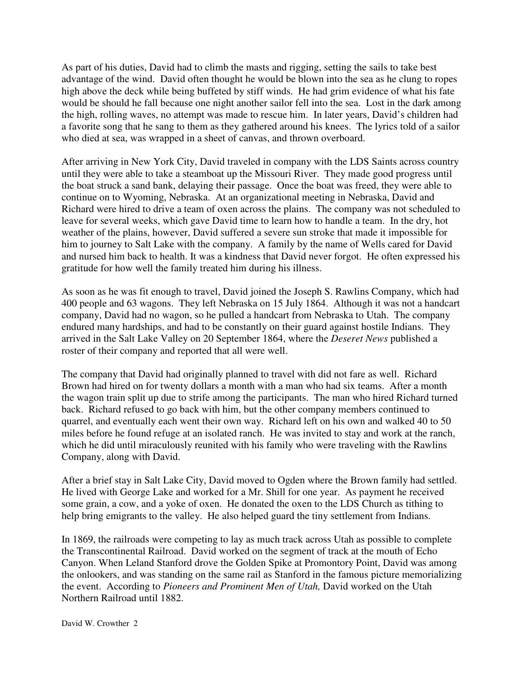As part of his duties, David had to climb the masts and rigging, setting the sails to take best advantage of the wind. David often thought he would be blown into the sea as he clung to ropes high above the deck while being buffeted by stiff winds. He had grim evidence of what his fate would be should he fall because one night another sailor fell into the sea. Lost in the dark among the high, rolling waves, no attempt was made to rescue him. In later years, David's children had a favorite song that he sang to them as they gathered around his knees. The lyrics told of a sailor who died at sea, was wrapped in a sheet of canvas, and thrown overboard.

After arriving in New York City, David traveled in company with the LDS Saints across country until they were able to take a steamboat up the Missouri River. They made good progress until the boat struck a sand bank, delaying their passage. Once the boat was freed, they were able to continue on to Wyoming, Nebraska. At an organizational meeting in Nebraska, David and Richard were hired to drive a team of oxen across the plains. The company was not scheduled to leave for several weeks, which gave David time to learn how to handle a team. In the dry, hot weather of the plains, however, David suffered a severe sun stroke that made it impossible for him to journey to Salt Lake with the company. A family by the name of Wells cared for David and nursed him back to health. It was a kindness that David never forgot. He often expressed his gratitude for how well the family treated him during his illness.

As soon as he was fit enough to travel, David joined the Joseph S. Rawlins Company, which had 400 people and 63 wagons. They left Nebraska on 15 July 1864. Although it was not a handcart company, David had no wagon, so he pulled a handcart from Nebraska to Utah. The company endured many hardships, and had to be constantly on their guard against hostile Indians. They arrived in the Salt Lake Valley on 20 September 1864, where the *Deseret News* published a roster of their company and reported that all were well.

The company that David had originally planned to travel with did not fare as well. Richard Brown had hired on for twenty dollars a month with a man who had six teams. After a month the wagon train split up due to strife among the participants. The man who hired Richard turned back. Richard refused to go back with him, but the other company members continued to quarrel, and eventually each went their own way. Richard left on his own and walked 40 to 50 miles before he found refuge at an isolated ranch. He was invited to stay and work at the ranch, which he did until miraculously reunited with his family who were traveling with the Rawlins Company, along with David.

After a brief stay in Salt Lake City, David moved to Ogden where the Brown family had settled. He lived with George Lake and worked for a Mr. Shill for one year. As payment he received some grain, a cow, and a yoke of oxen. He donated the oxen to the LDS Church as tithing to help bring emigrants to the valley. He also helped guard the tiny settlement from Indians.

In 1869, the railroads were competing to lay as much track across Utah as possible to complete the Transcontinental Railroad. David worked on the segment of track at the mouth of Echo Canyon. When Leland Stanford drove the Golden Spike at Promontory Point, David was among the onlookers, and was standing on the same rail as Stanford in the famous picture memorializing the event. According to *Pioneers and Prominent Men of Utah,* David worked on the Utah Northern Railroad until 1882.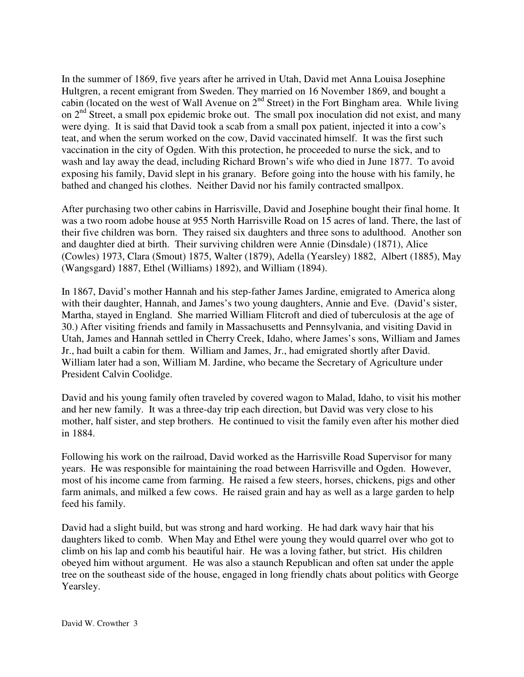In the summer of 1869, five years after he arrived in Utah, David met Anna Louisa Josephine Hultgren, a recent emigrant from Sweden. They married on 16 November 1869, and bought a cabin (located on the west of Wall Avenue on 2nd Street) in the Fort Bingham area. While living on  $2<sup>nd</sup>$  Street, a small pox epidemic broke out. The small pox inoculation did not exist, and many were dying. It is said that David took a scab from a small pox patient, injected it into a cow's teat, and when the serum worked on the cow, David vaccinated himself. It was the first such vaccination in the city of Ogden. With this protection, he proceeded to nurse the sick, and to wash and lay away the dead, including Richard Brown's wife who died in June 1877. To avoid exposing his family, David slept in his granary. Before going into the house with his family, he bathed and changed his clothes. Neither David nor his family contracted smallpox.

After purchasing two other cabins in Harrisville, David and Josephine bought their final home. It was a two room adobe house at 955 North Harrisville Road on 15 acres of land. There, the last of their five children was born. They raised six daughters and three sons to adulthood. Another son and daughter died at birth. Their surviving children were Annie (Dinsdale) (1871), Alice (Cowles) 1973, Clara (Smout) 1875, Walter (1879), Adella (Yearsley) 1882, Albert (1885), May (Wangsgard) 1887, Ethel (Williams) 1892), and William (1894).

In 1867, David's mother Hannah and his step-father James Jardine, emigrated to America along with their daughter, Hannah, and James's two young daughters, Annie and Eve. (David's sister, Martha, stayed in England. She married William Flitcroft and died of tuberculosis at the age of 30.) After visiting friends and family in Massachusetts and Pennsylvania, and visiting David in Utah, James and Hannah settled in Cherry Creek, Idaho, where James's sons, William and James Jr., had built a cabin for them. William and James, Jr., had emigrated shortly after David. William later had a son, William M. Jardine, who became the Secretary of Agriculture under President Calvin Coolidge.

David and his young family often traveled by covered wagon to Malad, Idaho, to visit his mother and her new family. It was a three-day trip each direction, but David was very close to his mother, half sister, and step brothers. He continued to visit the family even after his mother died in 1884.

Following his work on the railroad, David worked as the Harrisville Road Supervisor for many years. He was responsible for maintaining the road between Harrisville and Ogden. However, most of his income came from farming. He raised a few steers, horses, chickens, pigs and other farm animals, and milked a few cows. He raised grain and hay as well as a large garden to help feed his family.

David had a slight build, but was strong and hard working. He had dark wavy hair that his daughters liked to comb. When May and Ethel were young they would quarrel over who got to climb on his lap and comb his beautiful hair. He was a loving father, but strict. His children obeyed him without argument. He was also a staunch Republican and often sat under the apple tree on the southeast side of the house, engaged in long friendly chats about politics with George Yearsley.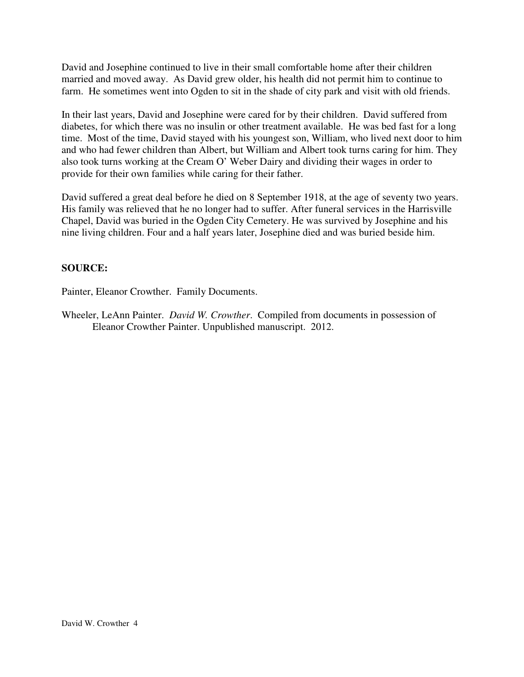David and Josephine continued to live in their small comfortable home after their children married and moved away. As David grew older, his health did not permit him to continue to farm. He sometimes went into Ogden to sit in the shade of city park and visit with old friends.

In their last years, David and Josephine were cared for by their children. David suffered from diabetes, for which there was no insulin or other treatment available. He was bed fast for a long time. Most of the time, David stayed with his youngest son, William, who lived next door to him and who had fewer children than Albert, but William and Albert took turns caring for him. They also took turns working at the Cream O' Weber Dairy and dividing their wages in order to provide for their own families while caring for their father.

David suffered a great deal before he died on 8 September 1918, at the age of seventy two years. His family was relieved that he no longer had to suffer. After funeral services in the Harrisville Chapel, David was buried in the Ogden City Cemetery. He was survived by Josephine and his nine living children. Four and a half years later, Josephine died and was buried beside him.

## **SOURCE:**

Painter, Eleanor Crowther. Family Documents.

Wheeler, LeAnn Painter. *David W. Crowther*. Compiled from documents in possession of Eleanor Crowther Painter. Unpublished manuscript. 2012.